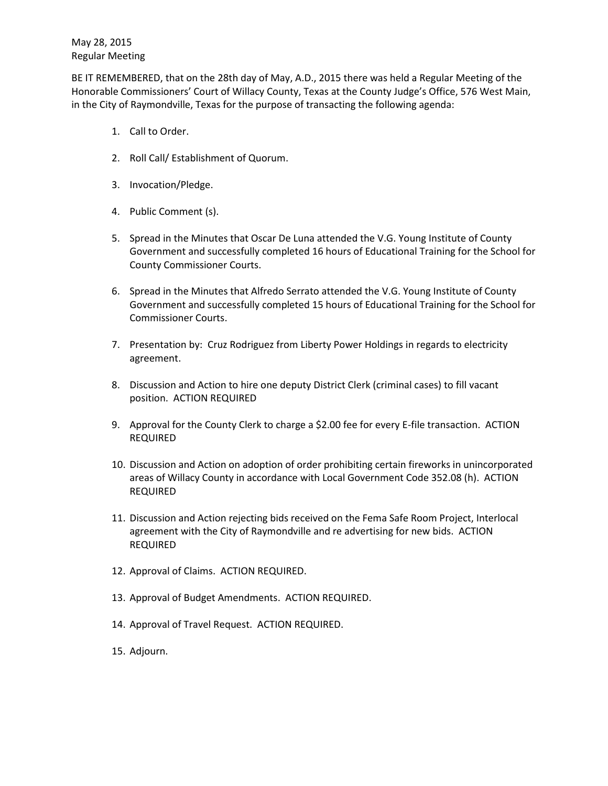BE IT REMEMBERED, that on the 28th day of May, A.D., 2015 there was held a Regular Meeting of the Honorable Commissioners' Court of Willacy County, Texas at the County Judge's Office, 576 West Main, in the City of Raymondville, Texas for the purpose of transacting the following agenda:

- 1. Call to Order.
- 2. Roll Call/ Establishment of Quorum.
- 3. Invocation/Pledge.
- 4. Public Comment (s).
- 5. Spread in the Minutes that Oscar De Luna attended the V.G. Young Institute of County Government and successfully completed 16 hours of Educational Training for the School for County Commissioner Courts.
- 6. Spread in the Minutes that Alfredo Serrato attended the V.G. Young Institute of County Government and successfully completed 15 hours of Educational Training for the School for Commissioner Courts.
- 7. Presentation by: Cruz Rodriguez from Liberty Power Holdings in regards to electricity agreement.
- 8. Discussion and Action to hire one deputy District Clerk (criminal cases) to fill vacant position. ACTION REQUIRED
- 9. Approval for the County Clerk to charge a \$2.00 fee for every E-file transaction. ACTION REQUIRED
- 10. Discussion and Action on adoption of order prohibiting certain fireworks in unincorporated areas of Willacy County in accordance with Local Government Code 352.08 (h). ACTION REQUIRED
- 11. Discussion and Action rejecting bids received on the Fema Safe Room Project, Interlocal agreement with the City of Raymondville and re advertising for new bids. ACTION REQUIRED
- 12. Approval of Claims. ACTION REQUIRED.
- 13. Approval of Budget Amendments. ACTION REQUIRED.
- 14. Approval of Travel Request. ACTION REQUIRED.
- 15. Adjourn.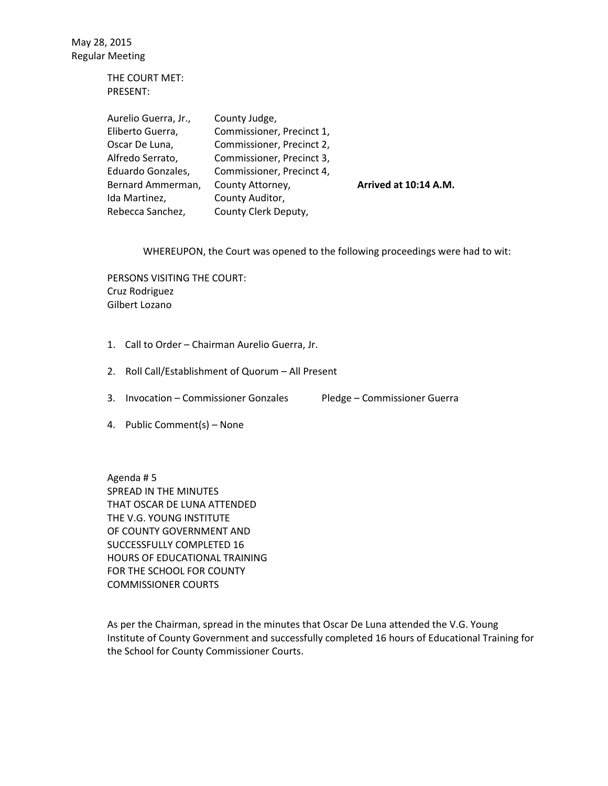> THE COURT MET: PRESENT:

| Aurelio Guerra, Jr., | County Judge,             |                       |
|----------------------|---------------------------|-----------------------|
| Eliberto Guerra,     | Commissioner, Precinct 1, |                       |
| Oscar De Luna,       | Commissioner, Precinct 2, |                       |
| Alfredo Serrato,     | Commissioner, Precinct 3, |                       |
| Eduardo Gonzales,    | Commissioner, Precinct 4, |                       |
| Bernard Ammerman,    | County Attorney,          | Arrived at 10:14 A.M. |
| Ida Martinez,        | County Auditor,           |                       |
| Rebecca Sanchez,     | County Clerk Deputy,      |                       |

WHEREUPON, the Court was opened to the following proceedings were had to wit:

PERSONS VISITING THE COURT: Cruz Rodriguez Gilbert Lozano

- 1. Call to Order Chairman Aurelio Guerra, Jr.
- 2. Roll Call/Establishment of Quorum All Present
- 3. Invocation Commissioner Gonzales Pledge Commissioner Guerra
- 4. Public Comment(s) None

Agenda # 5 SPREAD IN THE MINUTES THAT OSCAR DE LUNA ATTENDED THE V.G. YOUNG INSTITUTE OF COUNTY GOVERNMENT AND SUCCESSFULLY COMPLETED 16 HOURS OF EDUCATIONAL TRAINING FOR THE SCHOOL FOR COUNTY COMMISSIONER COURTS

As per the Chairman, spread in the minutes that Oscar De Luna attended the V.G. Young Institute of County Government and successfully completed 16 hours of Educational Training for the School for County Commissioner Courts.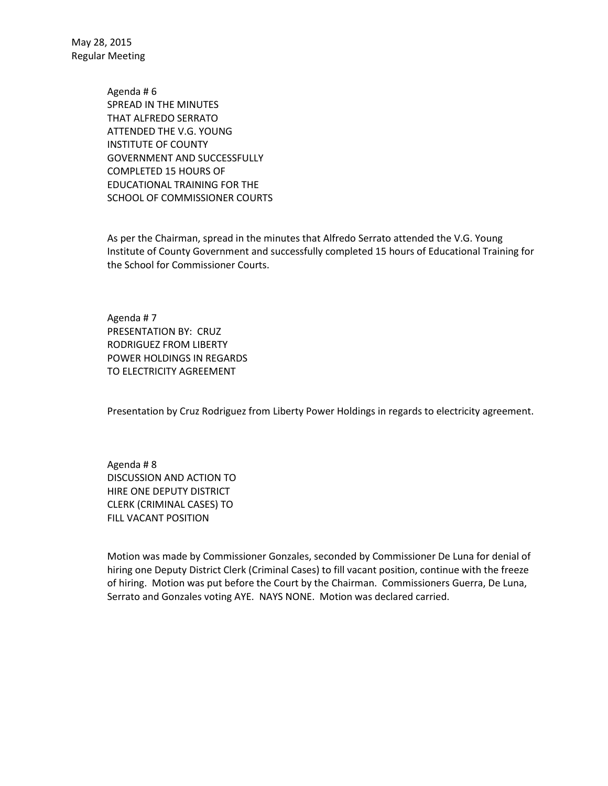> Agenda # 6 SPREAD IN THE MINUTES THAT ALFREDO SERRATO ATTENDED THE V.G. YOUNG INSTITUTE OF COUNTY GOVERNMENT AND SUCCESSFULLY COMPLETED 15 HOURS OF EDUCATIONAL TRAINING FOR THE SCHOOL OF COMMISSIONER COURTS

As per the Chairman, spread in the minutes that Alfredo Serrato attended the V.G. Young Institute of County Government and successfully completed 15 hours of Educational Training for the School for Commissioner Courts.

Agenda # 7 PRESENTATION BY: CRUZ RODRIGUEZ FROM LIBERTY POWER HOLDINGS IN REGARDS TO ELECTRICITY AGREEMENT

Presentation by Cruz Rodriguez from Liberty Power Holdings in regards to electricity agreement.

Agenda # 8 DISCUSSION AND ACTION TO HIRE ONE DEPUTY DISTRICT CLERK (CRIMINAL CASES) TO FILL VACANT POSITION

Motion was made by Commissioner Gonzales, seconded by Commissioner De Luna for denial of hiring one Deputy District Clerk (Criminal Cases) to fill vacant position, continue with the freeze of hiring. Motion was put before the Court by the Chairman. Commissioners Guerra, De Luna, Serrato and Gonzales voting AYE. NAYS NONE. Motion was declared carried.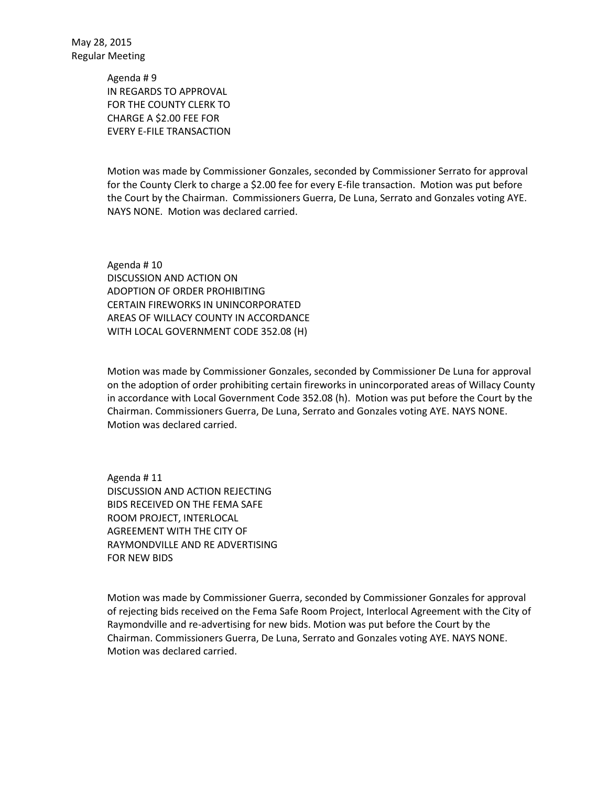> Agenda # 9 IN REGARDS TO APPROVAL FOR THE COUNTY CLERK TO CHARGE A \$2.00 FEE FOR EVERY E-FILE TRANSACTION

Motion was made by Commissioner Gonzales, seconded by Commissioner Serrato for approval for the County Clerk to charge a \$2.00 fee for every E-file transaction. Motion was put before the Court by the Chairman. Commissioners Guerra, De Luna, Serrato and Gonzales voting AYE. NAYS NONE. Motion was declared carried.

Agenda # 10 DISCUSSION AND ACTION ON ADOPTION OF ORDER PROHIBITING CERTAIN FIREWORKS IN UNINCORPORATED AREAS OF WILLACY COUNTY IN ACCORDANCE WITH LOCAL GOVERNMENT CODE 352.08 (H)

Motion was made by Commissioner Gonzales, seconded by Commissioner De Luna for approval on the adoption of order prohibiting certain fireworks in unincorporated areas of Willacy County in accordance with Local Government Code 352.08 (h). Motion was put before the Court by the Chairman. Commissioners Guerra, De Luna, Serrato and Gonzales voting AYE. NAYS NONE. Motion was declared carried.

Agenda # 11 DISCUSSION AND ACTION REJECTING BIDS RECEIVED ON THE FEMA SAFE ROOM PROJECT, INTERLOCAL AGREEMENT WITH THE CITY OF RAYMONDVILLE AND RE ADVERTISING FOR NEW BIDS

Motion was made by Commissioner Guerra, seconded by Commissioner Gonzales for approval of rejecting bids received on the Fema Safe Room Project, Interlocal Agreement with the City of Raymondville and re-advertising for new bids. Motion was put before the Court by the Chairman. Commissioners Guerra, De Luna, Serrato and Gonzales voting AYE. NAYS NONE. Motion was declared carried.